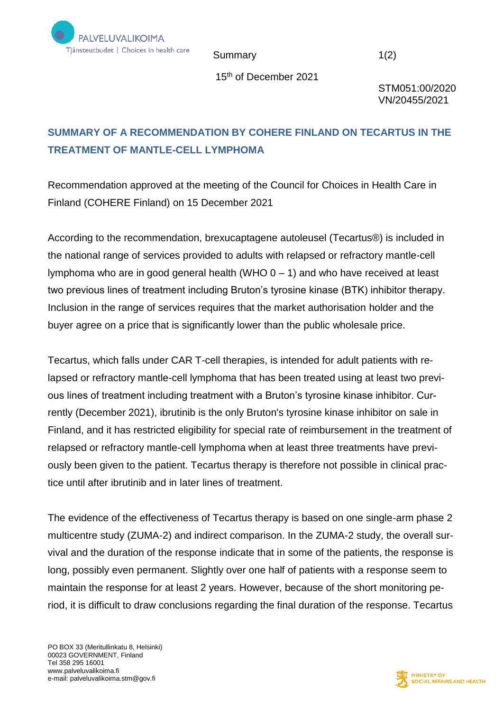

Summary 1(2)

15th of December 2021

STM051:00/2020 VN/20455/2021

## **SUMMARY OF A RECOMMENDATION BY COHERE FINLAND ON TECARTUS IN THE TREATMENT OF MANTLE-CELL LYMPHOMA**

Recommendation approved at the meeting of the Council for Choices in Health Care in Finland (COHERE Finland) on 15 December 2021

According to the recommendation, brexucaptagene autoleusel (Tecartus®) is included in the national range of services provided to adults with relapsed or refractory mantle-cell lymphoma who are in good general health (WHO 0 – 1) and who have received at least two previous lines of treatment including Bruton's tyrosine kinase (BTK) inhibitor therapy. Inclusion in the range of services requires that the market authorisation holder and the buyer agree on a price that is significantly lower than the public wholesale price.

Tecartus, which falls under CAR T-cell therapies, is intended for adult patients with relapsed or refractory mantle-cell lymphoma that has been treated using at least two previous lines of treatment including treatment with a Bruton's tyrosine kinase inhibitor. Currently (December 2021), ibrutinib is the only Bruton's tyrosine kinase inhibitor on sale in Finland, and it has restricted eligibility for special rate of reimbursement in the treatment of relapsed or refractory mantle-cell lymphoma when at least three treatments have previously been given to the patient. Tecartus therapy is therefore not possible in clinical practice until after ibrutinib and in later lines of treatment.

The evidence of the effectiveness of Tecartus therapy is based on one single-arm phase 2 multicentre study (ZUMA-2) and indirect comparison. In the ZUMA-2 study, the overall survival and the duration of the response indicate that in some of the patients, the response is long, possibly even permanent. Slightly over one half of patients with a response seem to maintain the response for at least 2 years. However, because of the short monitoring period, it is difficult to draw conclusions regarding the final duration of the response. Tecartus